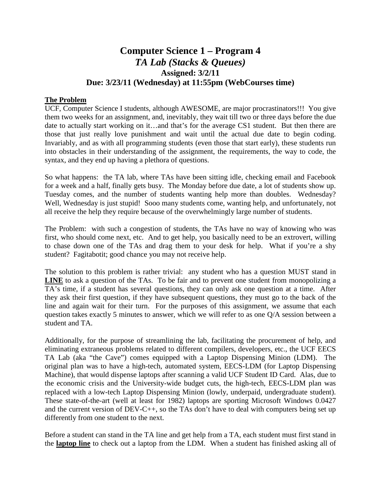# **Computer Science 1 – Program 4** *TA Lab (Stacks & Queues)* **Assigned: 3/2/11 Due: 3/23/11 (Wednesday) at 11:55pm (WebCourses time)**

# **The Problem**

UCF, Computer Science I students, although AWESOME, are major procrastinators!!! You give them two weeks for an assignment, and, inevitably, they wait till two or three days before the due date to actually start working on it…and that's for the average CS1 student. But then there are those that just really love punishment and wait until the actual due date to begin coding. Invariably, and as with all programming students (even those that start early), these students run into obstacles in their understanding of the assignment, the requirements, the way to code, the syntax, and they end up having a plethora of questions.

So what happens: the TA lab, where TAs have been sitting idle, checking email and Facebook for a week and a half, finally gets busy. The Monday before due date, a lot of students show up. Tuesday comes, and the number of students wanting help more than doubles. Wednesday? Well, Wednesday is just stupid! Sooo many students come, wanting help, and unfortunately, not all receive the help they require because of the overwhelmingly large number of students.

The Problem: with such a congestion of students, the TAs have no way of knowing who was first, who should come next, etc. And to get help, you basically need to be an extrovert, willing to chase down one of the TAs and drag them to your desk for help. What if you're a shy student? Fagitabotit; good chance you may not receive help.

The solution to this problem is rather trivial: any student who has a question MUST stand in **LINE** to ask a question of the TAs. To be fair and to prevent one student from monopolizing a TA's time, if a student has several questions, they can only ask one question at a time. After they ask their first question, if they have subsequent questions, they must go to the back of the line and again wait for their turn. For the purposes of this assignment, we assume that each question takes exactly 5 minutes to answer, which we will refer to as one Q/A session between a student and TA.

Additionally, for the purpose of streamlining the lab, facilitating the procurement of help, and eliminating extraneous problems related to different compilers, developers, etc., the UCF EECS TA Lab (aka "the Cave") comes equipped with a Laptop Dispensing Minion (LDM). The original plan was to have a high-tech, automated system, EECS-LDM (for Laptop Dispensing Machine), that would dispense laptops after scanning a valid UCF Student ID Card. Alas, due to the economic crisis and the University-wide budget cuts, the high-tech, EECS-LDM plan was replaced with a low-tech Laptop Dispensing Minion (lowly, underpaid, undergraduate student). These state-of-the-art (well at least for 1982) laptops are sporting Microsoft Windows 0.0427 and the current version of DEV-C++, so the TAs don't have to deal with computers being set up differently from one student to the next.

Before a student can stand in the TA line and get help from a TA, each student must first stand in the **laptop line** to check out a laptop from the LDM. When a student has finished asking all of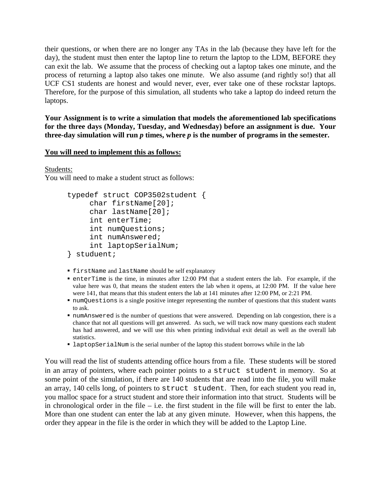their questions, or when there are no longer any TAs in the lab (because they have left for the day), the student must then enter the laptop line to return the laptop to the LDM, BEFORE they can exit the lab. We assume that the process of checking out a laptop takes one minute, and the process of returning a laptop also takes one minute. We also assume (and rightly so!) that all UCF CS1 students are honest and would never, ever, ever take one of these rockstar laptops. Therefore, for the purpose of this simulation, all students who take a laptop do indeed return the laptops.

**Your Assignment is to write a simulation that models the aforementioned lab specifications for the three days (Monday, Tuesday, and Wednesday) before an assignment is due. Your**  three-day simulation will run  $p$  times, where  $p$  is the number of programs in the semester.

### **You will need to implement this as follows:**

Students:

You will need to make a student struct as follows:

```
typedef struct COP3502student {
     char firstName[20];
     char lastName[20];
     int enterTime;
     int numQuestions;
     int numAnswered;
     int laptopSerialNum;
} studuent;
```
- firstName and lastName should be self explanatory
- $\blacksquare$  enterTime is the time, in minutes after 12:00 PM that a student enters the lab. For example, if the value here was 0, that means the student enters the lab when it opens, at 12:00 PM. If the value here were 141, that means that this student enters the lab at 141 minutes after 12:00 PM, or 2:21 PM.
- numQuestions is a single positive integer representing the number of questions that this student wants to ask.
- numAnswered is the number of questions that were answered. Depending on lab congestion, there is a chance that not all questions will get answered. As such, we will track now many questions each student has had answered, and we will use this when printing individual exit detail as well as the overall lab statistics.
- laptopSerialNum is the serial number of the laptop this student borrows while in the lab

You will read the list of students attending office hours from a file. These students will be stored in an array of pointers, where each pointer points to a struct student in memory. So at some point of the simulation, if there are 140 students that are read into the file, you will make an array, 140 cells long, of pointers to struct student. Then, for each student you read in, you malloc space for a struct student and store their information into that struct. Students will be in chronological order in the file – i.e. the first student in the file will be first to enter the lab. More than one student can enter the lab at any given minute. However, when this happens, the order they appear in the file is the order in which they will be added to the Laptop Line.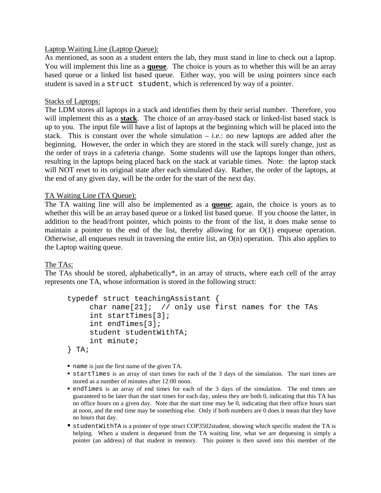### Laptop Waiting Line (Laptop Queue):

As mentioned, as soon as a student enters the lab, they must stand in line to check out a laptop. You will implement this line as a **queue**. The choice is yours as to whether this will be an array based queue or a linked list based queue. Either way, you will be using pointers since each student is saved in a struct student, which is referenced by way of a pointer.

#### Stacks of Laptops:

The LDM stores all laptops in a stack and identifies them by their serial number. Therefore, you will implement this as a **stack**. The choice of an array-based stack or linked-list based stack is up to you. The input file will have a list of laptops at the beginning which will be placed into the stack. This is constant over the whole simulation  $-$  i.e.: no new laptops are added after the beginning. However, the order in which they are stored in the stack will surely change, just as the order of trays in a cafeteria change. Some students will use the laptops longer than others, resulting in the laptops being placed back on the stack at variable times. Note: the laptop stack will NOT reset to its original state after each simulated day. Rather, the order of the laptops, at the end of any given day, will be the order for the start of the next day.

### TA Waiting Line (TA Queue):

The TA waiting line will also be implemented as a **queue**; again, the choice is yours as to whether this will be an array based queue or a linked list based queue. If you choose the latter, in addition to the head/front pointer, which points to the front of the list, it does make sense to maintain a pointer to the end of the list, thereby allowing for an O(1) enqueue operation. Otherwise, all enqueues result in traversing the entire list, an O(n) operation. This also applies to the Laptop waiting queue.

### The TAs:

The TAs should be stored, alphabetically\*, in an array of structs, where each cell of the array represents one TA, whose information is stored in the following struct:

```
typedef struct teachingAssistant {
     char name[21]; \frac{1}{2} // only use first names for the TAs
     int startTimes[3];
     int endTimes[3];
     student studentWithTA;
     int minute;
} TA;
```
- name is just the first name of the given TA.
- startTimes is an array of start times for each of the 3 days of the simulation. The start times are stored as a number of minutes after 12:00 noon.
- endTimes is an array of end times for each of the 3 days of the simulation. The end times are guaranteed to be later than the start times for each day, unless they are both 0, indicating that this TA has no office hours on a given day. Note that the start time may be 0, indicating that their office hours start at noon, and the end time may be something else. Only if both numbers are 0 does it mean that they have no hours that day.
- studentWithTA is a pointer of type struct COP3502student, showing which specific student the TA is helping. When a student is dequeued from the TA waiting line, what we are dequeuing is simply a pointer (an address) of that student in memory. This pointer is then saved into this member of the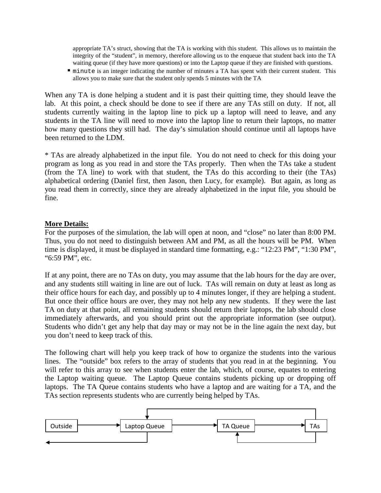appropriate TA's struct, showing that the TA is working with this student. This allows us to maintain the integrity of the "student", in memory, therefore allowing us to the enqueue that student back into the TA waiting queue (if they have more questions) or into the Laptop queue if they are finished with questions.

 minute is an integer indicating the number of minutes a TA has spent with their current student. This allows you to make sure that the student only spends 5 minutes with the TA

When any TA is done helping a student and it is past their quitting time, they should leave the lab. At this point, a check should be done to see if there are any TAs still on duty. If not, all students currently waiting in the laptop line to pick up a laptop will need to leave, and any students in the TA line will need to move into the laptop line to return their laptops, no matter how many questions they still had. The day's simulation should continue until all laptops have been returned to the LDM.

\* TAs are already alphabetized in the input file. You do not need to check for this doing your program as long as you read in and store the TAs properly. Then when the TAs take a student (from the TA line) to work with that student, the TAs do this according to their (the TAs) alphabetical ordering (Daniel first, then Jason, then Lucy, for example). But again, as long as you read them in correctly, since they are already alphabetized in the input file, you should be fine.

### **More Details:**

For the purposes of the simulation, the lab will open at noon, and "close" no later than 8:00 PM. Thus, you do not need to distinguish between AM and PM, as all the hours will be PM. When time is displayed, it must be displayed in standard time formatting, e.g.: "12:23 PM", "1:30 PM", "6:59 PM", etc.

If at any point, there are no TAs on duty, you may assume that the lab hours for the day are over, and any students still waiting in line are out of luck. TAs will remain on duty at least as long as their office hours for each day, and possibly up to 4 minutes longer, if they are helping a student. But once their office hours are over, they may not help any new students. If they were the last TA on duty at that point, all remaining students should return their laptops, the lab should close immediately afterwards, and you should print out the appropriate information (see output). Students who didn't get any help that day may or may not be in the line again the next day, but you don't need to keep track of this.

The following chart will help you keep track of how to organize the students into the various lines. The "outside" box refers to the array of students that you read in at the beginning. You will refer to this array to see when students enter the lab, which, of course, equates to entering the Laptop waiting queue. The Laptop Queue contains students picking up or dropping off laptops. The TA Queue contains students who have a laptop and are waiting for a TA, and the TAs section represents students who are currently being helped by TAs.

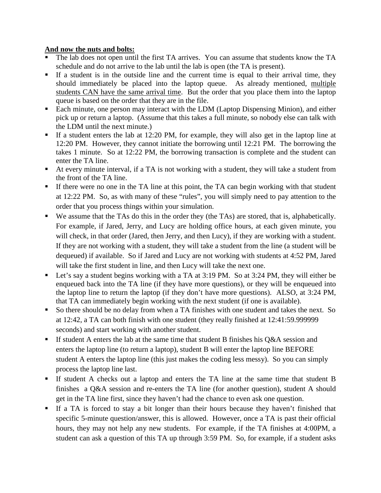# **And now the nuts and bolts:**

- The lab does not open until the first TA arrives. You can assume that students know the TA schedule and do not arrive to the lab until the lab is open (the TA is present).
- If a student is in the outside line and the current time is equal to their arrival time, they should immediately be placed into the laptop queue. As already mentioned, multiple students CAN have the same arrival time. But the order that you place them into the laptop queue is based on the order that they are in the file.
- Each minute, one person may interact with the LDM (Laptop Dispensing Minion), and either pick up or return a laptop. (Assume that this takes a full minute, so nobody else can talk with the LDM until the next minute.)
- If a student enters the lab at 12:20 PM, for example, they will also get in the laptop line at 12:20 PM. However, they cannot initiate the borrowing until 12:21 PM. The borrowing the takes 1 minute. So at 12:22 PM, the borrowing transaction is complete and the student can enter the TA line.
- At every minute interval, if a TA is not working with a student, they will take a student from the front of the TA line.
- If there were no one in the TA line at this point, the TA can begin working with that student at 12:22 PM. So, as with many of these "rules", you will simply need to pay attention to the order that you process things within your simulation.
- We assume that the TAs do this in the order they (the TAs) are stored, that is, alphabetically. For example, if Jared, Jerry, and Lucy are holding office hours, at each given minute, you will check, in that order (Jared, then Jerry, and then Lucy), if they are working with a student. If they are not working with a student, they will take a student from the line (a student will be dequeued) if available. So if Jared and Lucy are not working with students at 4:52 PM, Jared will take the first student in line, and then Lucy will take the next one.
- Let's say a student begins working with a TA at 3:19 PM. So at 3:24 PM, they will either be enqueued back into the TA line (if they have more questions), or they will be enqueued into the laptop line to return the laptop (if they don't have more questions). ALSO, at 3:24 PM, that TA can immediately begin working with the next student (if one is available).
- So there should be no delay from when a TA finishes with one student and takes the next. So at 12:42, a TA can both finish with one student (they really finished at 12:41:59.999999 seconds) and start working with another student.
- If student A enters the lab at the same time that student B finishes his  $O&A$  session and enters the laptop line (to return a laptop), student B will enter the laptop line BEFORE student A enters the laptop line (this just makes the coding less messy). So you can simply process the laptop line last.
- If student A checks out a laptop and enters the TA line at the same time that student B finishes a Q&A session and re-enters the TA line (for another question), student A should get in the TA line first, since they haven't had the chance to even ask one question.
- If a TA is forced to stay a bit longer than their hours because they haven't finished that specific 5-minute question/answer, this is allowed. However, once a TA is past their official hours, they may not help any new students. For example, if the TA finishes at 4:00PM, a student can ask a question of this TA up through 3:59 PM. So, for example, if a student asks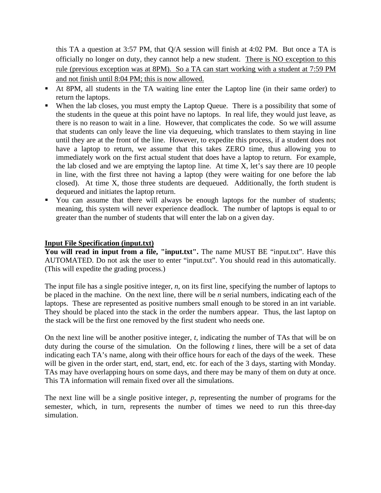this TA a question at 3:57 PM, that Q/A session will finish at 4:02 PM. But once a TA is officially no longer on duty, they cannot help a new student. There is NO exception to this rule (previous exception was at 8PM). So a TA can start working with a student at 7:59 PM and not finish until 8:04 PM; this is now allowed.

- At 8PM, all students in the TA waiting line enter the Laptop line (in their same order) to return the laptops.
- When the lab closes, you must empty the Laptop Queue. There is a possibility that some of the students in the queue at this point have no laptops. In real life, they would just leave, as there is no reason to wait in a line. However, that complicates the code. So we will assume that students can only leave the line via dequeuing, which translates to them staying in line until they are at the front of the line. However, to expedite this process, if a student does not have a laptop to return, we assume that this takes ZERO time, thus allowing you to immediately work on the first actual student that does have a laptop to return. For example, the lab closed and we are emptying the laptop line. At time X, let's say there are 10 people in line, with the first three not having a laptop (they were waiting for one before the lab closed). At time X, those three students are dequeued. Additionally, the forth student is dequeued and initiates the laptop return.
- You can assume that there will always be enough laptops for the number of students; meaning, this system will never experience deadlock. The number of laptops is equal to or greater than the number of students that will enter the lab on a given day.

### **Input File Specification (input.txt)**

**You will read in input from a file, "input.txt".** The name MUST BE "input.txt". Have this AUTOMATED. Do not ask the user to enter "input.txt". You should read in this automatically. (This will expedite the grading process.)

The input file has a single positive integer, *n*, on its first line, specifying the number of laptops to be placed in the machine. On the next line, there will be *n* serial numbers, indicating each of the laptops. These are represented as positive numbers small enough to be stored in an int variable. They should be placed into the stack in the order the numbers appear. Thus, the last laptop on the stack will be the first one removed by the first student who needs one.

On the next line will be another positive integer, *t*, indicating the number of TAs that will be on duty during the course of the simulation. On the following *t* lines, there will be a set of data indicating each TA's name, along with their office hours for each of the days of the week. These will be given in the order start, end, start, end, etc. for each of the 3 days, starting with Monday. TAs may have overlapping hours on some days, and there may be many of them on duty at once. This TA information will remain fixed over all the simulations.

The next line will be a single positive integer, *p*, representing the number of programs for the semester, which, in turn, represents the number of times we need to run this three-day simulation.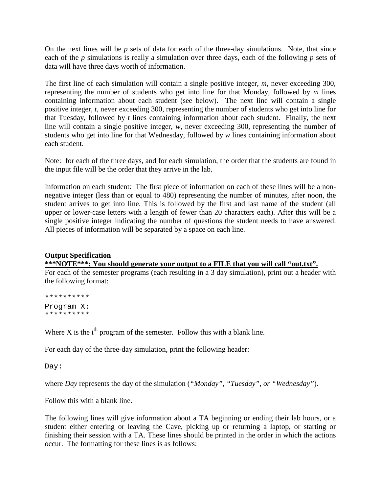On the next lines will be *p* sets of data for each of the three-day simulations. Note, that since each of the *p* simulations is really a simulation over three days, each of the following *p* sets of data will have three days worth of information.

The first line of each simulation will contain a single positive integer, *m*, never exceeding 300, representing the number of students who get into line for that Monday, followed by *m* lines containing information about each student (see below). The next line will contain a single positive integer, *t*, never exceeding 300, representing the number of students who get into line for that Tuesday, followed by *t* lines containing information about each student. Finally, the next line will contain a single positive integer, *w*, never exceeding 300, representing the number of students who get into line for that Wednesday, followed by *w* lines containing information about each student.

Note: for each of the three days, and for each simulation, the order that the students are found in the input file will be the order that they arrive in the lab.

Information on each student: The first piece of information on each of these lines will be a nonnegative integer (less than or equal to 480) representing the number of minutes, after noon, the student arrives to get into line. This is followed by the first and last name of the student (all upper or lower-case letters with a length of fewer than 20 characters each). After this will be a single positive integer indicating the number of questions the student needs to have answered. All pieces of information will be separated by a space on each line.

### **Output Specification**

**\*\*\*NOTE\*\*\*: You should generate your output to a FILE that you will call "out.txt".**

For each of the semester programs (each resulting in a 3 day simulation), print out a header with the following format:

\*\*\*\*\*\*\*\*\*\* Program X: \*\*\*\*\*\*\*\*\*\*

Where  $X$  is the i<sup>th</sup> program of the semester. Follow this with a blank line.

For each day of the three-day simulation, print the following header:

Day:

where *Day* represents the day of the simulation (*"Monday", "Tuesday", or "Wednesday"*).

Follow this with a blank line.

The following lines will give information about a TA beginning or ending their lab hours, or a student either entering or leaving the Cave, picking up or returning a laptop, or starting or finishing their session with a TA. These lines should be printed in the order in which the actions occur. The formatting for these lines is as follows: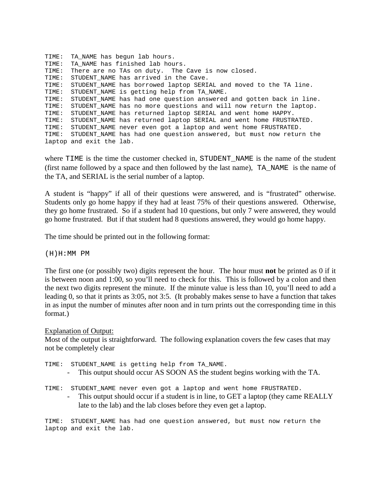```
TIME: TA NAME has begun lab hours.
TIME: TA NAME has finished lab hours.
TIME: There are no TAs on duty. The Cave is now closed.
TIME: STUDENT NAME has arrived in the Cave.
TIME: STUDENT_NAME has borrowed laptop SERIAL and moved to the TA line.
TIME: STUDENT_NAME is getting help from TA_NAME.
TIME: STUDENT_NAME has had one question answered and gotten back in line.
TIME: STUDENT_NAME has no more questions and will now return the laptop.
TIME: STUDENT_NAME has returned laptop SERIAL and went home HAPPY.
TIME: STUDENT_NAME has returned laptop SERIAL and went home FRUSTRATED.
TIME: STUDENT_NAME never even got a laptop and went home FRUSTRATED.
TIME: STUDENT_NAME has had one question answered, but must now return the 
laptop and exit the lab.
```
where TIME is the time the customer checked in, STUDENT NAME is the name of the student (first name followed by a space and then followed by the last name), TA\_NAME is the name of the TA, and SERIAL is the serial number of a laptop.

A student is "happy" if all of their questions were answered, and is "frustrated" otherwise. Students only go home happy if they had at least 75% of their questions answered. Otherwise, they go home frustrated. So if a student had 10 questions, but only 7 were answered, they would go home frustrated. But if that student had 8 questions answered, they would go home happy.

The time should be printed out in the following format:

(H)H:MM PM

The first one (or possibly two) digits represent the hour. The hour must **not** be printed as 0 if it is between noon and 1:00, so you'll need to check for this. This is followed by a colon and then the next two digits represent the minute. If the minute value is less than 10, you'll need to add a leading 0, so that it prints as 3:05, not 3:5. (It probably makes sense to have a function that takes in as input the number of minutes after noon and in turn prints out the corresponding time in this format.)

#### Explanation of Output:

Most of the output is straightforward. The following explanation covers the few cases that may not be completely clear

TIME: STUDENT NAME is getting help from TA\_NAME.

- This output should occur AS SOON AS the student begins working with the TA.

TIME: STUDENT\_NAME never even got a laptop and went home FRUSTRATED.

This output should occur if a student is in line, to GET a laptop (they came REALLY late to the lab) and the lab closes before they even get a laptop.

TIME: STUDENT\_NAME has had one question answered, but must now return the laptop and exit the lab.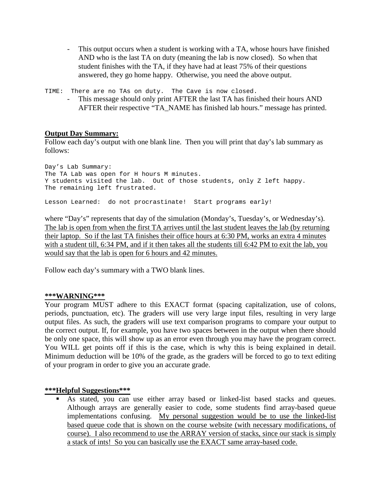- This output occurs when a student is working with a TA, whose hours have finished AND who is the last TA on duty (meaning the lab is now closed). So when that student finishes with the TA, if they have had at least 75% of their questions answered, they go home happy. Otherwise, you need the above output.

TIME: There are no TAs on duty. The Cave is now closed.

This message should only print AFTER the last TA has finished their hours AND AFTER their respective "TA\_NAME has finished lab hours." message has printed.

# **Output Day Summary:**

Follow each day's output with one blank line. Then you will print that day's lab summary as follows:

Day's Lab Summary: The TA Lab was open for H hours M minutes. Y students visited the lab. Out of those students, only Z left happy. The remaining left frustrated.

Lesson Learned: do not procrastinate! Start programs early!

where "Day's" represents that day of the simulation (Monday's, Tuesday's, or Wednesday's). The lab is open from when the first TA arrives until the last student leaves the lab (by returning their laptop. So if the last TA finishes their office hours at 6:30 PM, works an extra 4 minutes with a student till, 6:34 PM, and if it then takes all the students till 6:42 PM to exit the lab, you would say that the lab is open for 6 hours and 42 minutes.

Follow each day's summary with a TWO blank lines.

### **\*\*\*WARNING\*\*\***

Your program MUST adhere to this EXACT format (spacing capitalization, use of colons, periods, punctuation, etc). The graders will use very large input files, resulting in very large output files. As such, the graders will use text comparison programs to compare your output to the correct output. If, for example, you have two spaces between in the output when there should be only one space, this will show up as an error even through you may have the program correct. You WILL get points off if this is the case, which is why this is being explained in detail. Minimum deduction will be 10% of the grade, as the graders will be forced to go to text editing of your program in order to give you an accurate grade.

### **\*\*\*Helpful Suggestions\*\*\***

 As stated, you can use either array based or linked-list based stacks and queues. Although arrays are generally easier to code, some students find array-based queue implementations confusing. My personal suggestion would be to use the linked-list based queue code that is shown on the course website (with necessary modifications, of course). I also recommend to use the ARRAY version of stacks, since our stack is simply a stack of ints! So you can basically use the EXACT same array-based code.